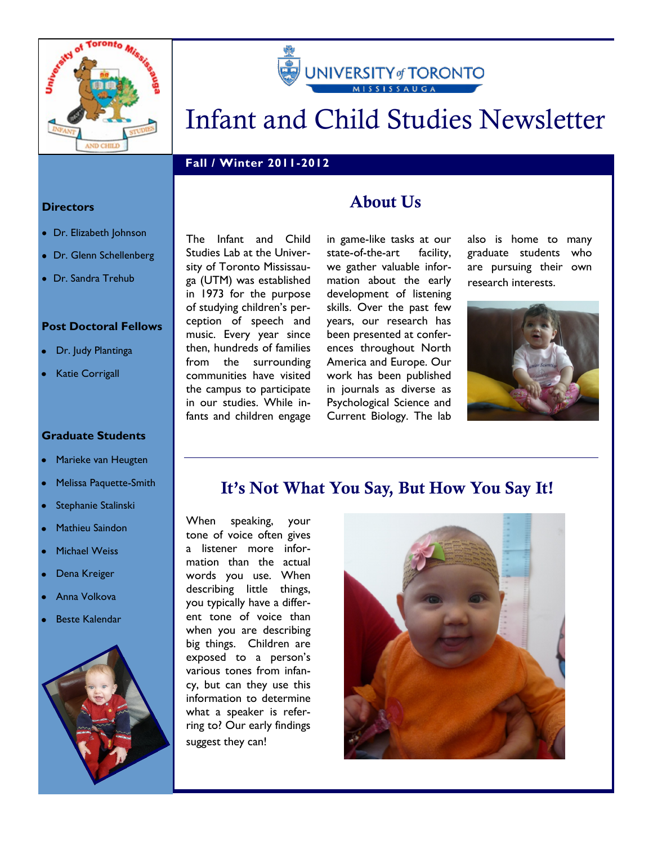



# Infant and Child Studies Newsletter

### **Fall / Winter 2011-2012**

#### **Directors**

- Dr. Elizabeth Johnson
- Dr. Glenn Schellenberg
- Dr. Sandra Trehub

#### **Post Doctoral Fellows**

- Dr. Judy Plantinga
- Katie Corrigall

#### **Graduate Students**

- Marieke van Heugten
- Melissa Paquette-Smith
- Stephanie Stalinski
- Mathieu Saindon
- Michael Weiss
- Dena Kreiger
- Anna Volkova
- Beste Kalendar



The Infant and Child Studies Lab at the University of Toronto Mississauga (UTM) was established in 1973 for the purpose of studying children's perception of speech and music. Every year since then, hundreds of families from the surrounding communities have visited the campus to participate in our studies. While infants and children engage

### About Us

in game-like tasks at our state-of-the-art facility, we gather valuable information about the early development of listening skills. Over the past few years, our research has been presented at conferences throughout North America and Europe. Our work has been published in journals as diverse as Psychological Science and Current Biology. The lab

also is home to many graduate students who are pursuing their own research interests.



### It's Not What You Say, But How You Say It!

When speaking, your tone of voice often gives a listener more information than the actual words you use. When describing little things, you typically have a different tone of voice than when you are describing big things. Children are exposed to a person's various tones from infancy, but can they use this information to determine what a speaker is referring to? Our early findings suggest they can!

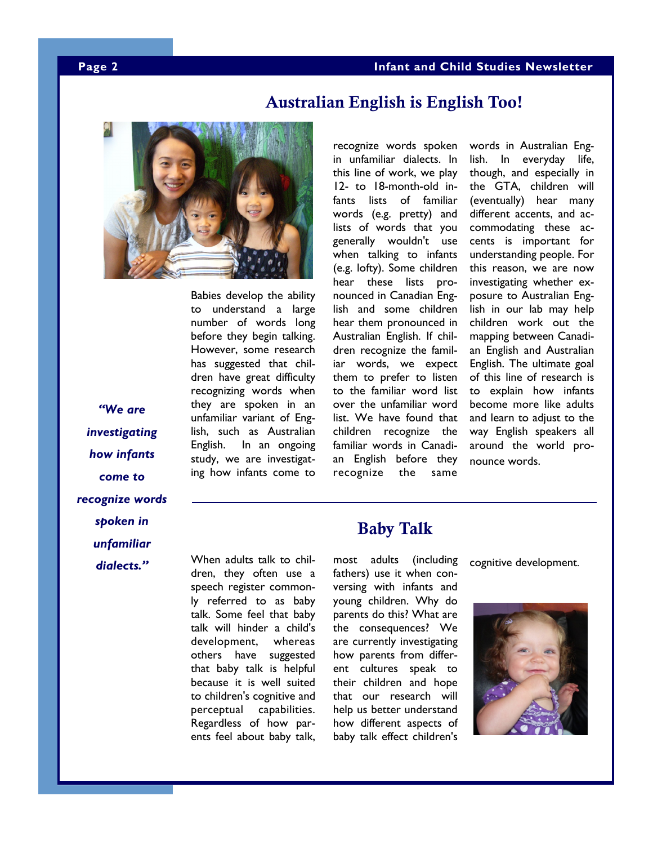

Babies develop the ability to understand a large number of words long before they begin talking. However, some research has suggested that children have great difficulty recognizing words when they are spoken in an unfamiliar variant of English, such as Australian English. In an ongoing study, we are investigating how infants come to

recognize words spoken in unfamiliar dialects. In this line of work, we play 12- to 18-month-old infants lists of familiar words (e.g. pretty) and lists of words that you generally wouldn't use when talking to infants (e.g. lofty). Some children hear these lists pronounced in Canadian English and some children hear them pronounced in Australian English. If children recognize the familiar words, we expect them to prefer to listen to the familiar word list over the unfamiliar word list. We have found that children recognize the familiar words in Canadian English before they recognize the same

Australian English is English Too!

words in Australian English. In everyday life, though, and especially in the GTA, children will (eventually) hear many different accents, and accommodating these accents is important for understanding people. For this reason, we are now investigating whether exposure to Australian English in our lab may help children work out the mapping between Canadian English and Australian English. The ultimate goal of this line of research is to explain how infants become more like adults and learn to adjust to the way English speakers all around the world pronounce words.

## *´:HDUH investigating how infants come to recognize words spoken in unfamiliar*  dialects."

When adults talk to children, they often use a speech register commonly referred to as baby talk. Some feel that baby talk will hinder a child's development, whereas others have suggested that baby talk is helpful because it is well suited to children's cognitive and perceptual capabilities. Regardless of how parents feel about baby talk,

### Baby Talk

most adults (including fathers) use it when conversing with infants and young children. Why do parents do this? What are the consequences? We are currently investigating how parents from different cultures speak to their children and hope that our research will help us better understand how different aspects of baby talk effect children's

cognitive development.

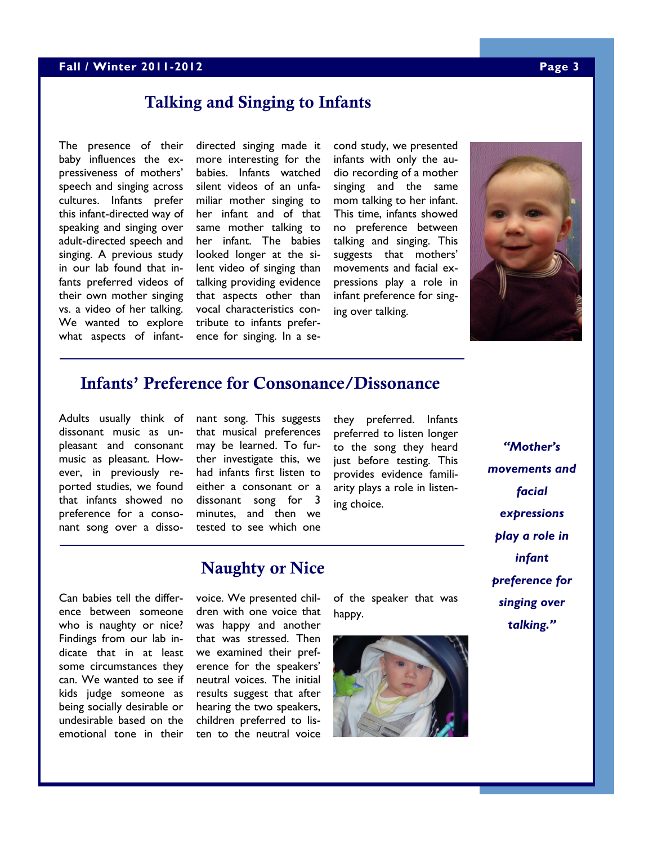### **Fall / Winter 2011-2012 Page 3**

### Talking and Singing to Infants

The presence of their baby influences the expressiveness of mothers' speech and singing across cultures. Infants prefer this infant-directed way of speaking and singing over adult-directed speech and singing. A previous study in our lab found that infants preferred videos of their own mother singing vs. a video of her talking. We wanted to explore what aspects of infant-

directed singing made it more interesting for the babies. Infants watched silent videos of an unfamiliar mother singing to her infant and of that same mother talking to her infant. The babies looked longer at the silent video of singing than talking providing evidence that aspects other than vocal characteristics contribute to infants preference for singing. In a second study, we presented infants with only the audio recording of a mother singing and the same mom talking to her infant. This time, infants showed no preference between talking and singing. This suggests that mothers' movements and facial expressions play a role in infant preference for singing over talking.



### Infants' Preference for Consonance/Dissonance

Adults usually think of dissonant music as unpleasant and consonant music as pleasant. However, in previously reported studies, we found that infants showed no preference for a consonant song over a dissonant song. This suggests that musical preferences may be learned. To further investigate this, we had infants first listen to either a consonant or a dissonant song for 3 minutes, and then we tested to see which one

they preferred. Infants preferred to listen longer to the song they heard just before testing. This provides evidence familiarity plays a role in listening choice.

*''Mother's movements and facial expressions play a role in infant preference for singing over*  talking."

Can babies tell the difference between someone who is naughty or nice? Findings from our lab indicate that in at least some circumstances they can. We wanted to see if kids judge someone as being socially desirable or undesirable based on the emotional tone in their

### Naughty or Nice

voice. We presented children with one voice that was happy and another that was stressed. Then we examined their preference for the speakers' neutral voices. The initial results suggest that after hearing the two speakers, children preferred to listen to the neutral voice of the speaker that was happy.